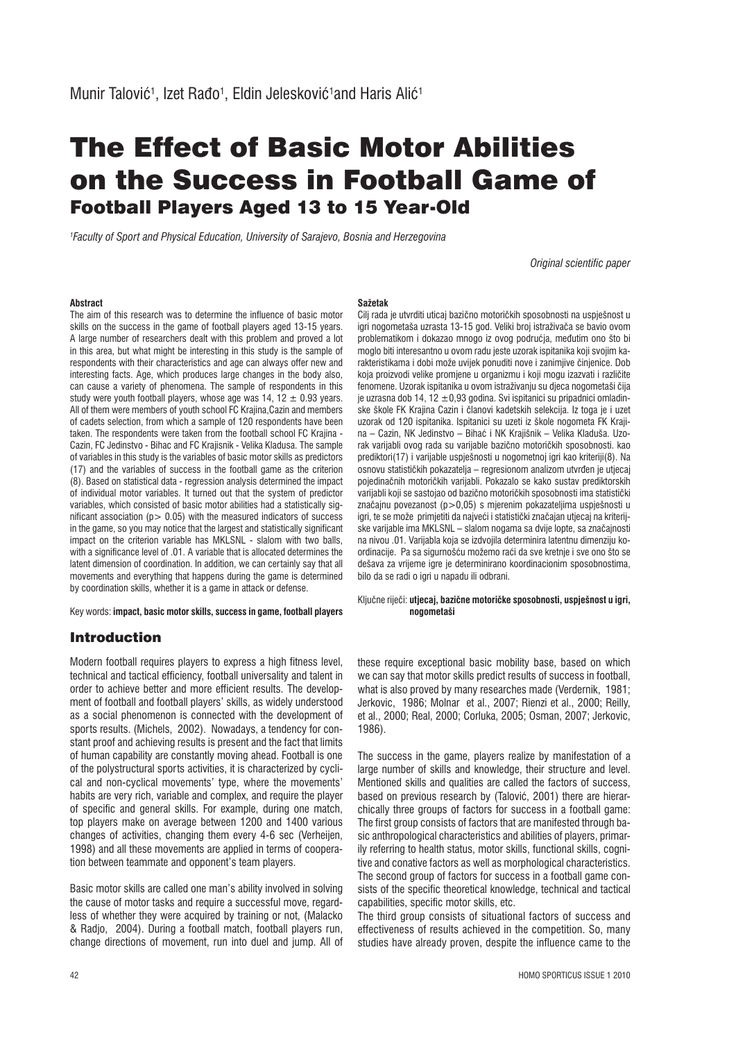# The Effect of Basic Motor Abilities on the Success in Football Game of Football Players Aged 13 to 15 Year-Old

*1 Faculty of Sport and Physical Education, University of Sarajevo, Bosnia and Herzegovina*

*Original scientific paper*

#### **Abstract**

The aim of this research was to determine the influence of basic motor skills on the success in the game of football players aged 13-15 years. A large number of researchers dealt with this problem and proved a lot in this area, but what might be interesting in this study is the sample of respondents with their characteristics and age can always offer new and interesting facts. Age, which produces large changes in the body also, can cause a variety of phenomena. The sample of respondents in this study were youth football players, whose age was  $14$ ,  $12 \pm 0.93$  years. All of them were members of youth school FC Krajina,Cazin and members of cadets selection, from which a sample of 120 respondents have been taken. The respondents were taken from the football school FC Krajina - Cazin, FC Jedinstvo - Bihac and FC Krajisnik - Velika Kladusa. The sample of variables in this study is the variables of basic motor skills as predictors (17) and the variables of success in the football game as the criterion (8). Based on statistical data - regression analysis determined the impact of individual motor variables. It turned out that the system of predictor variables, which consisted of basic motor abilities had a statistically significant association ( $p > 0.05$ ) with the measured indicators of success in the game, so you may notice that the largest and statistically significant impact on the criterion variable has MKLSNL - slalom with two balls, with a significance level of .01. A variable that is allocated determines the latent dimension of coordination. In addition, we can certainly say that all movements and everything that happens during the game is determined by coordination skills, whether it is a game in attack or defense.

Key words: **impact, basic motor skills, success in game, football players**

# Introduction

Modern football requires players to express a high fitness level, technical and tactical efficiency, football universality and talent in order to achieve better and more efficient results. The development of football and football players' skills, as widely understood as a social phenomenon is connected with the development of sports results. (Michels, 2002). Nowadays, a tendency for constant proof and achieving results is present and the fact that limits of human capability are constantly moving ahead. Football is one of the polystructural sports activities, it is characterized by cyclical and non-cyclical movements' type, where the movements' habits are very rich, variable and complex, and require the player of specific and general skills. For example, during one match, top players make on average between 1200 and 1400 various changes of activities, changing them every 4-6 sec (Verheijen, 1998) and all these movements are applied in terms of cooperation between teammate and opponent's team players.

Basic motor skills are called one man's ability involved in solving the cause of motor tasks and require a successful move, regardless of whether they were acquired by training or not, (Malacko & Radjo, 2004). During a football match, football players run, change directions of movement, run into duel and jump. All of

#### **Sažetak**

Cilj rada je utvrditi uticaj bazično motoričkih sposobnosti na uspješnost u igri nogometaša uzrasta 13-15 god. Veliki broj istraživača se bavio ovom problematikom i dokazao mnogo iz ovog podrućja, međutim ono što bi moglo biti interesantno u ovom radu jeste uzorak ispitanika koji svojim karakteristikama i dobi može uvijek ponuditi nove i zanimjive činjenice. Dob koja proizvodi velike promjene u organizmu i koji mogu izazvati i različite fenomene. Uzorak ispitanika u ovom istraživanju su djeca nogometaši Āija je uzrasna dob 14, 12  $\pm$ 0,93 godina. Svi ispitanici su pripadnici omladinske škole FK Krajina Cazin i članovi kadetskih selekcija. Iz toga je i uzet uzorak od 120 ispitanika. Ispitanici su uzeti iz škole nogometa FK Krajina – Cazin, NK Jedinstvo – Bihać i NK Krajišnik – Velika Kladuša. Uzorak varijabli ovog rada su varijable bazično motoričkih sposobnosti. kao prediktori(17) i varijable uspješnosti u nogometnoj igri kao kriteriji(8). Na osnovu statističkih pokazatelja – regresionom analizom utvrđen je utjecaj pojedinačnih motoričkih varijabli. Pokazalo se kako sustav prediktorskih .<br>varijabli koji se sastojao od bazično motoričkih sposobnosti ima statistički značajnu povezanost (p>0,05) s mjerenim pokazateljima uspješnosti u igri, te se može primjetiti da najveći i statistički značajan utjecaj na kriterijske varijable ima MKLSNL - slalom nogama sa dvije lopte, sa značajnosti na nivou .01. Varijabla koja se izdvojila determinira latentnu dimenziju koordinacije. Pa sa sigurnošću možemo raći da sve kretnje i sve ono što se dešava za vrijeme igre je determinirano koordinacionim sposobnostima, bilo da se radi o igri u napadu ili odbrani.

#### Ključne riječi: utjecaj, bazične motoričke sposobnosti, uspješnost u igri,  **nogometaši**

these require exceptional basic mobility base, based on which we can say that motor skills predict results of success in football, what is also proved by many researches made (Verdernik, 1981; Jerkovic, 1986; Molnar et al., 2007; Rienzi et al., 2000; Reilly, et al., 2000; Real, 2000; Corluka, 2005; Osman, 2007; Jerkovic, 1986).

The success in the game, players realize by manifestation of a large number of skills and knowledge, their structure and level. Mentioned skills and qualities are called the factors of success, based on previous research by (Talović, 2001) there are hierarchically three groups of factors for success in a football game: The first group consists of factors that are manifested through basic anthropological characteristics and abilities of players, primarily referring to health status, motor skills, functional skills, cognitive and conative factors as well as morphological characteristics. The second group of factors for success in a football game consists of the specific theoretical knowledge, technical and tactical capabilities, specific motor skills, etc.

The third group consists of situational factors of success and effectiveness of results achieved in the competition. So, many studies have already proven, despite the influence came to the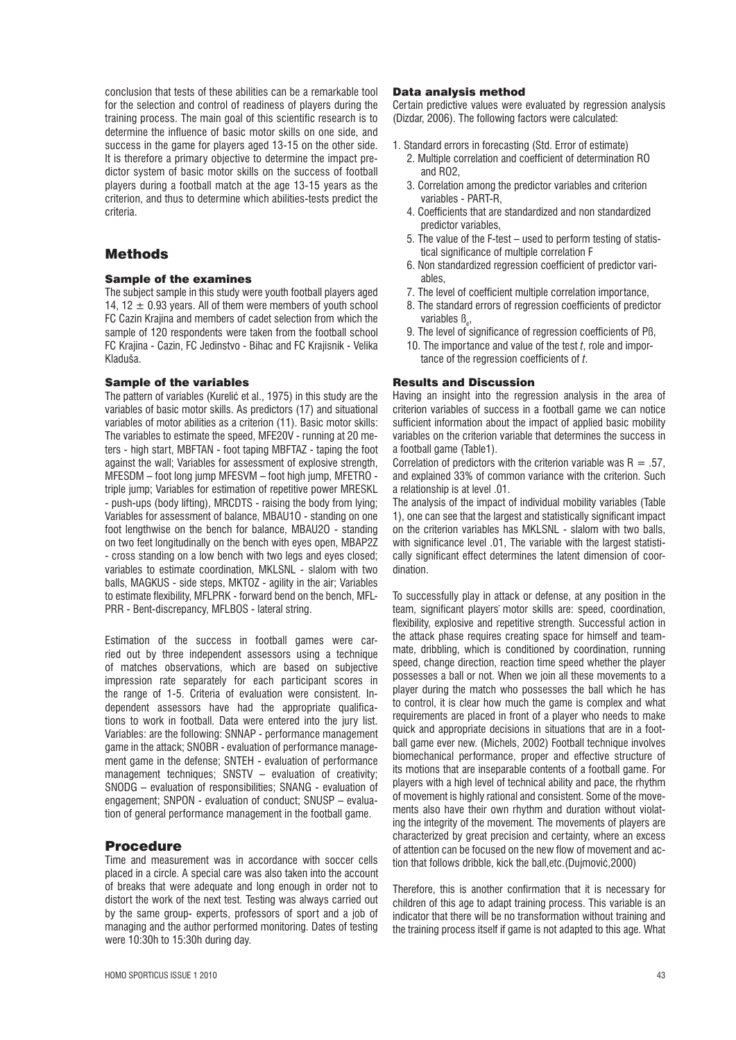conclusion that tests of these abilities can be a remarkable tool for the selection and control of readiness of players during the training process. The main goal of this scientific research is to determine the influence of basic motor skills on one side, and success in the game for players aged 13-15 on the other side. It is therefore a primary objective to determine the impact predictor system of basic motor skills on the success of football players during a football match at the age 13-15 years as the criterion, and thus to determine which abilities-tests predict the criteria.

## Methods

## Sample of the examines

The subject sample in this study were youth football players aged 14, 12  $\pm$  0.93 years. All of them were members of youth school FC Cazin Krajina and members of cadet selection from which the sample of 120 respondents were taken from the football school FC Krajina - Cazin, FC Jedinstvo - Bihac and FC Krajisnik - Velika Kladuša.

## Sample of the variables

The pattern of variables (Kurelić et al., 1975) in this study are the variables of basic motor skills. As predictors (17) and situational variables of motor abilities as a criterion (11). Basic motor skills: The variables to estimate the speed, MFE20V - running at 20 meters - high start, MBFTAN - foot taping MBFTAZ - taping the foot against the wall; Variables for assessment of explosive strength, MFESDM – foot long jump MFESVM – foot high jump, MFETRO triple jump; Variables for estimation of repetitive power MRESKL - push-ups (body lifting), MRCDTS - raising the body from lying; Variables for assessment of balance, MBAU1O - standing on one foot lengthwise on the bench for balance, MBAU2O - standing on two feet longitudinally on the bench with eyes open, MBAP2Z - cross standing on a low bench with two legs and eyes closed; variables to estimate coordination, MKLSNL - slalom with two balls, MAGKUS - side steps, MKTOZ - agility in the air; Variables to estimate flexibility, MFLPRK - forward bend on the bench, MFL-PRR - Bent-discrepancy, MFLBOS - lateral string.

Estimation of the success in football games were carried out by three independent assessors using a technique of matches observations, which are based on subjective impression rate separately for each participant scores in the range of 1-5. Criteria of evaluation were consistent. Independent assessors have had the appropriate qualifications to work in football. Data were entered into the jury list. Variables: are the following: SNNAP - performance management game in the attack; SNOBR - evaluation of performance management game in the defense; SNTEH - evaluation of performance management techniques; SNSTV – evaluation of creativity; SNODG – evaluation of responsibilities; SNANG - evaluation of engagement; SNPON - evaluation of conduct; SNUSP – evaluation of general performance management in the football game.

## Procedure

Time and measurement was in accordance with soccer cells placed in a circle. A special care was also taken into the account of breaks that were adequate and long enough in order not to distort the work of the next test. Testing was always carried out by the same group- experts, professors of sport and a job of managing and the author performed monitoring. Dates of testing were 10:30h to 15:30h during day.

#### Data analysis method

Certain predictive values were evaluated by regression analysis (Dizdar, 2006). The following factors were calculated:

- 1. Standard errors in forecasting (Std. Error of estimate)
	- 2. Multiple correlation and coefficient of determination RO and RO2,
	- 3. Correlation among the predictor variables and criterion variables - PART-R,
	- 4. Coefficients that are standardized and non standardized predictor variables,
	- 5. The value of the F-test used to perform testing of statistical significance of multiple correlation F
	- 6. Non standardized regression coefficient of predictor variables,
	- 7. The level of coefficient multiple correlation importance,
	- 8. The standard errors of regression coefficients of predictor variables ß<sub>e</sub>,
	- 9. The level of significance of regression coefficients of Pß,
	- 10. The importance and value of the test *t*, role and importance of the regression coefficients of *t*.

#### Results and Discussion

Having an insight into the regression analysis in the area of criterion variables of success in a football game we can notice sufficient information about the impact of applied basic mobility variables on the criterion variable that determines the success in a football game (Table1).

Correlation of predictors with the criterion variable was  $R = .57$ , and explained 33% of common variance with the criterion. Such a relationship is at level .01.

The analysis of the impact of individual mobility variables (Table 1), one can see that the largest and statistically significant impact on the criterion variables has MKLSNL - slalom with two balls, with significance level .01, The variable with the largest statistically significant effect determines the latent dimension of coordination.

To successfully play in attack or defense, at any position in the team, significant players' motor skills are: speed, coordination, flexibility, explosive and repetitive strength. Successful action in the attack phase requires creating space for himself and teammate, dribbling, which is conditioned by coordination, running speed, change direction, reaction time speed whether the player possesses a ball or not. When we join all these movements to a player during the match who possesses the ball which he has to control, it is clear how much the game is complex and what requirements are placed in front of a player who needs to make quick and appropriate decisions in situations that are in a football game ever new. (Michels, 2002) Football technique involves biomechanical performance, proper and effective structure of its motions that are inseparable contents of a football game. For players with a high level of technical ability and pace, the rhythm of movement is highly rational and consistent. Some of the movements also have their own rhythm and duration without violating the integrity of the movement. The movements of players are characterized by great precision and certainty, where an excess of attention can be focused on the new flow of movement and action that follows dribble, kick the ball, etc. (Dujmović, 2000)

Therefore, this is another confirmation that it is necessary for children of this age to adapt training process. This variable is an indicator that there will be no transformation without training and the training process itself if game is not adapted to this age. What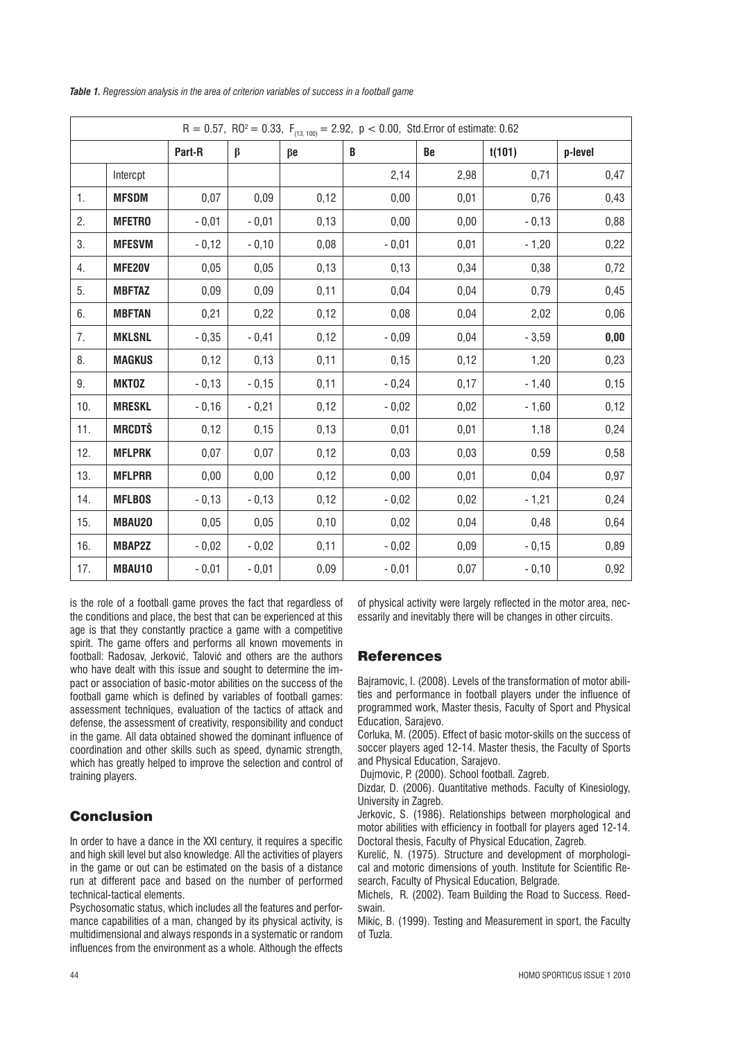| $R = 0.57$ , $R0^2 = 0.33$ , $F_{(13, 100)} = 2.92$ , $p < 0.00$ , Std. Error of estimate: 0.62 |               |         |         |           |         |           |         |         |
|-------------------------------------------------------------------------------------------------|---------------|---------|---------|-----------|---------|-----------|---------|---------|
|                                                                                                 |               | Part-R  | $\beta$ | $\beta$ e | B       | <b>Be</b> | t(101)  | p-level |
|                                                                                                 | Intercpt      |         |         |           | 2,14    | 2,98      | 0,71    | 0,47    |
| 1.                                                                                              | <b>MFSDM</b>  | 0,07    | 0,09    | 0,12      | 0,00    | 0,01      | 0,76    | 0,43    |
| 2.                                                                                              | <b>MFETRO</b> | $-0,01$ | $-0,01$ | 0,13      | 0,00    | 0,00      | $-0,13$ | 0,88    |
| 3.                                                                                              | <b>MFESVM</b> | $-0,12$ | $-0,10$ | 0,08      | $-0,01$ | 0,01      | $-1,20$ | 0,22    |
| 4.                                                                                              | <b>MFE20V</b> | 0,05    | 0,05    | 0,13      | 0,13    | 0,34      | 0,38    | 0,72    |
| 5.                                                                                              | <b>MBFTAZ</b> | 0,09    | 0,09    | 0,11      | 0,04    | 0,04      | 0,79    | 0,45    |
| 6.                                                                                              | <b>MBFTAN</b> | 0,21    | 0,22    | 0,12      | 0,08    | 0,04      | 2,02    | 0,06    |
| 7.                                                                                              | <b>MKLSNL</b> | $-0,35$ | $-0,41$ | 0,12      | $-0,09$ | 0,04      | $-3,59$ | 0,00    |
| 8.                                                                                              | <b>MAGKUS</b> | 0,12    | 0,13    | 0,11      | 0,15    | 0,12      | 1,20    | 0,23    |
| 9.                                                                                              | <b>MKTOZ</b>  | $-0,13$ | $-0,15$ | 0,11      | $-0,24$ | 0,17      | $-1,40$ | 0,15    |
| 10.                                                                                             | <b>MRESKL</b> | $-0,16$ | $-0,21$ | 0,12      | $-0,02$ | 0,02      | $-1,60$ | 0,12    |
| 11.                                                                                             | <b>MRCDTŠ</b> | 0,12    | 0,15    | 0, 13     | 0,01    | 0,01      | 1,18    | 0,24    |
| 12.                                                                                             | <b>MFLPRK</b> | 0,07    | 0,07    | 0,12      | 0,03    | 0,03      | 0,59    | 0,58    |
| 13.                                                                                             | <b>MFLPRR</b> | 0,00    | 0,00    | 0,12      | 0,00    | 0,01      | 0,04    | 0,97    |
| 14.                                                                                             | <b>MFLBOS</b> | $-0,13$ | $-0,13$ | 0,12      | $-0,02$ | 0,02      | $-1,21$ | 0,24    |
| 15.                                                                                             | MBAU20        | 0,05    | 0,05    | 0,10      | 0,02    | 0,04      | 0,48    | 0,64    |
| 16.                                                                                             | <b>MBAP2Z</b> | $-0,02$ | $-0,02$ | 0,11      | $-0,02$ | 0,09      | $-0,15$ | 0,89    |
| 17.                                                                                             | MBAU10        | $-0,01$ | $-0,01$ | 0,09      | $-0,01$ | 0,07      | $-0,10$ | 0,92    |

*Table 1. Regression analysis in the area of criterion variables of success in a football game*

is the role of a football game proves the fact that regardless of the conditions and place, the best that can be experienced at this age is that they constantly practice a game with a competitive spirit. The game offers and performs all known movements in football: Radosay, Jerković, Talović and others are the authors who have dealt with this issue and sought to determine the impact or association of basic-motor abilities on the success of the football game which is defined by variables of football games: assessment techniques, evaluation of the tactics of attack and defense, the assessment of creativity, responsibility and conduct in the game. All data obtained showed the dominant influence of coordination and other skills such as speed, dynamic strength, which has greatly helped to improve the selection and control of training players.

# Conclusion

In order to have a dance in the XXI century, it requires a specific and high skill level but also knowledge. All the activities of players in the game or out can be estimated on the basis of a distance run at different pace and based on the number of performed technical-tactical elements.

Psychosomatic status, which includes all the features and performance capabilities of a man, changed by its physical activity, is multidimensional and always responds in a systematic or random influences from the environment as a whole. Although the effects

of physical activity were largely reflected in the motor area, necessarily and inevitably there will be changes in other circuits.

## **References**

Bajramovic, I. (2008). Levels of the transformation of motor abilities and performance in football players under the influence of programmed work, Master thesis, Faculty of Sport and Physical Education, Sarajevo.

Corluka, M. (2005). Effect of basic motor-skills on the success of soccer players aged 12-14. Master thesis, the Faculty of Sports and Physical Education, Sarajevo.

Dujmovic, P. (2000). School football. Zagreb.

Dizdar, D. (2006). Quantitative methods. Faculty of Kinesiology, University in Zagreb.

Jerkovic, S. (1986). Relationships between morphological and motor abilities with efficiency in football for players aged 12-14. Doctoral thesis, Faculty of Physical Education, Zagreb.

Kurelić, N. (1975). Structure and development of morphological and motoric dimensions of youth. Institute for Scientific Research, Faculty of Physical Education, Belgrade.

Michels, R. (2002). Team Building the Road to Success. Reedswain.

Mikic, B. (1999). Testing and Measurement in sport, the Faculty of Tuzla.